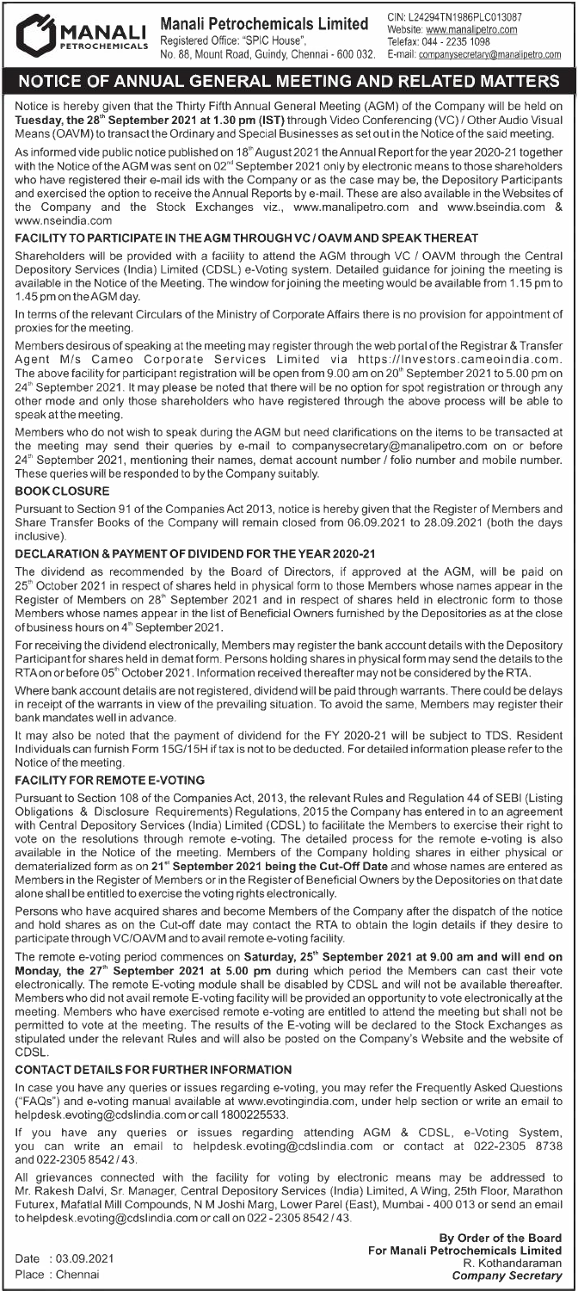

**Manali Petrochemicals Limited** 

Registered Office: "SPIC House", No. 88, Mount Road, Guindy, Chennai - 600 032. GIN: L24294TN1986PLC013087 Website: www.manalipetro.com Telefax: 044 - 2235 1098 E-mail: companysecretary@manalipetro.com

# **NOTICE OF ANNUAL GENERAL MEETING AND RELATED MATTERS**

Notice is hereby given that the Thirty Fifth Annual General Meeting (AGM) of the Company will be held on **Tuesday, the 28'" September 2021 at 1.30 pm (1ST)** through Video Conferencing (VC) / Other Audio Visual Means (OAVM) to transact the Ordinary and Special Businesses as set out in the Notice of the said meeting.

As informed vide public notice published on 18'" August 2021 the Annual Report for the year 2020-21 together with the Notice oftheAGM was sent on 02"' September 2021 only by electronic means to those shareholders who have registered their e-mail ids with the Company or as the case may be, the Depository Participants and exercised the option to receive the Annual Reports by e-mail. These are also available in the Websites of the Company and the Stock Exchanges viz., www.manalipetro.com and www.bseindia.com & www.nseindia.com

## **FACILITY TO PARTICIPATE IN THE AGM THROUGH VC / OAVM AND SPEAK THEREAT**

Shareholders will be provided with a facility to attend the AGM through VC / OAVM through the Central Depository Services (India) Limited (CDSL) e-Voting system. Detailed guidance for joining the meeting is available in the Notice of the Meeting. The window for joining the meeting would be available from 1.15 pm to 1.45 pm on theAGM day.

In terms of the relevant Circulars of the Ministry of Corporate Affairs there is no provision for appointment of proxies for the meeting.

Members desirous of speaking at the meeting may register through the web portal of the Registrar & Transfer Agent Mis Cameo Corporate Services Limited via https://lnvestors.cameoindia.com. The above facility for participant registration will be open from 9.00 am on 20<sup>th</sup> September 2021 to 5.00 pm on 24<sup>th</sup> September 2021. It may please be noted that there will be no option for spot registration or through any other mode and only those shareholders who have registered through the above process will be able to speak at the meeting.

Members who do not wish to speak during the AGM but need clarifications on the items to be transacted at the meeting may send their queries by e-mail to companysecretary@manalipetro.com on or before 24'" September 2021, mentioning their names, demat account number *I* folio number and mobile number. These queries will be responded to by the Company suitably.

## **BOOK CLOSURE**

Pursuant to Section 91 of the Companies Act 2013, notice is hereby given that the Register of Members and Share Transfer Books of the Company will remain closed from 06.09.2021 to 28.09.2021 (both the days inclusive).

## **DECLARATION & PAYMENT OF DIVIDEND FOR THE YEAR 2020-21**

The dividend as recommended by the Board of Directors, if approved at the AGM, will be paid on 25<sup>th</sup> October 2021 in respect of shares held in physical form to those Members whose names appear in the Register of Members on 28<sup>th</sup> September 2021 and in respect of shares held in electronic form to those Members whose names appear in the list of Beneficial Owners furnished by the Depositories as at the close of business hours on 4'h September 2021.

For receiving the dividend electronically, Members may register the bank account details with the Depository Participant for shares held in dematform. Persons holding shares in physical form may send the details to the RTA on or before 05<sup>th</sup> October 2021. Information received thereafter may not be considered by the RTA.

Where bank account details are not registered, dividend will be paid through warrants. There could be delays in receipt of the warrants in view of the prevailing situation. To avoid the same, Members may register their bank mandates well in advance.

It may also be noted that the payment of dividend for the FY 2020-21 will be subject to TDS. Resident Individuals can furnish Form 15G/15H if tax is not to be deducted. For detailed information please refer to the Notice of the meeting.

## **FACILITY FOR REMOTE E-VOTING**

Pursuant to Section 108 of the Companies Act, 2013, the relevant Rules and Regulation 44 of SEBI (Listing Obligations & Disclosure Requirements) Regulations, 2015 the Company has entered in to an agreement with Central Depository Services (India) Limited (CDSL) to facilitate the Members to exercise their right to vote on the resolutions through remote e-voting. The detailed process for the remote e-voting is also available in the Notice of the meeting. Members of the Company holding shares in either physical or dematerialized form as on **21" September 2021 being the Cut-Off Date** and whose names are entered as Members in the Register of Members or in the Register of Beneficial Owners by the Depositories on that date alone shall be entitled to exercise the voting rights electronically.

Persons who have acquired shares and become Members of the Company after the dispatch of the notice and hold shares as on the Cut-off date may contact the RTA to obtain the login details if they desire to participate through VC/OAVM and to avail remote e-voting facility.

The remote e-voting period commences on **Saturday, 25'h September 2021 at 9.00 am and will end on Monday, the 27'h September 2021 at 5.00 pm** during which period the Members can cast their vote electronically. The remote E-voting module shall be disabled by CDSL and will not be available thereafter. Members who did not avail remote E-voting facility will be provided an opportunity to vote electronically at the meeting. Members who have exercised remote e-voting are entitled to attend the meeting but shall not be permitted to vote at the meeting. The results of the E-voting will be declared to the Stock Exchanges as stipulated under the relevant Rules and will also be posted on the Company's Website and the website of **CDSL** 

## **CONTACT DETAILS FOR FURTHER INFORMATION**

In case you have any queries or issues regarding e-voting, you may refer the Frequently Asked Questions ("FAQs") and e-voting manual available at www.evotingindia.com, under help section or write an email to helpdesk.evoting@cdslindia.com orcall 1800225533.

If you have any queries or issues regarding attending AGM & CDSL, e-Voting System, you can write an email to helpdesk.evoting@cdslindia.com or contact at 022-2305 8738 and 022-2305 8542 / 43.

All grievances connected with the facility for voting by electronic means may be addressed to Mr. Rakesh Dalvi, Sr. Manager, Central Depository Services (India) Limited, A Wing, 25th Floor, Marathon Futurex, Mafatlal Mill Compounds, NM Joshi Marg, Lower Parel (East), Mumbai - 400 013 or send an email to helpdesk.evoting@cdslindia.com or call on 022 - 2305 8542 / 43.

Date : 03.09.2021 Place : Chennai

**By Order of the Board For Manali Petrochemicals Limited**  R. Kothandaraman *Company Secretary*